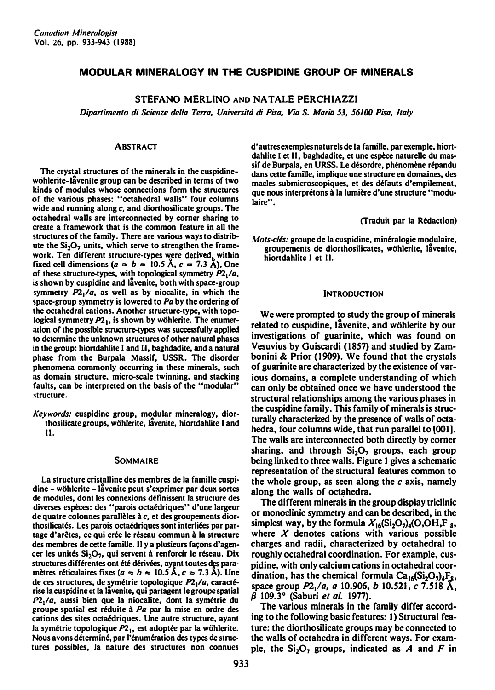# MODULAR MINERALOGY IN THE CUSPIDINE GROUP OF MINERALS

STEFANO MERLINO AND NATALE PERCHIAZZI

Dipartimento di Scienze della Terra, Universitd di Pisa, Via S. Maria 53, 56100 Pisa, Italy

### **ABSTRACT**

The crystal structures of the minerals in the cuspidinewöhlerite-lavenite group can be described in terms of two kinds of modules whose connections form the structures of the various phases: "octahedral walls" four columns wide and running along  $c<sub>i</sub>$  and diorthosilicate groups. The octahedral walls are interconnected by comer sharing to create a framework that is the common feature in all the structures of the family. There are various ways to distribute the  $Si<sub>2</sub>O<sub>7</sub>$  units, which serve to strengthen the framework. Ten different structure-types were derived, within<br>Gred cell dimensions (c.m. b.m. 10.5 Å, c.m. 7.2 Å). One fixed cell dimensions ( $a \approx b \approx 10.5$  Å,  $c \approx 7.3$  Å). One of these structure-types, with topological symmetry  $P2_1/a$ , is shown by cuspidine and lavenite, both with space-group symmetry  $P2_1/a$ , as well as by niocalite, in which the space-group symmetry is lowered to Pa by the ordering of the octahedral cations. Another structure-type, with topological symmetry  $P2<sub>1</sub>$ , is shown by wöhlerite. The enumeration of the possible structure-types was successfully applied to determine the unknown structures of other natural phases in the group: hiortdahlite I and II, baghdadite, and a natural phase from the Burpala Massif, USSR. The disorder phenomena commonly occurring in these minerals, such as domain structure, micro-scale twinning, and stacking faults, can be interpreted on the basis of the "modular" structure.

Keywords: cuspidine group, modular mineralogy, diorthosilicate groups, wöhlerite, lavenite, hiortdahlite I and II.

### SOMMAIRE

La structure cristalline des membres de Ia famille cuspidine - wöhlerite - lăvenite peut s'exprimer par deux sortes de modules, dont les connexions detinissent Ia structure des diverses espèces: des "parois octaédriques" d'une largeur de quatre colonnes parallèles à c, et des groupements diorthosilicatés. Les parois octaédriques sont interliées par partage d'arêtes, ce qui crée le réseau commun à la structure des membres de cette famille. Il y a plusieurs façons d'agencer les unités  $Si<sub>2</sub>O<sub>7</sub>$ , qui servent à renforcir le réseau. Dix structures différentes ont été dérivées, ayant toutes des paramètres réticulaires fixes ( $a \approx b \approx 10.5$  Å,  $c \approx 7.3$  Å). Une de ces structures, de symétrie topologique  $P2<sub>1</sub>/a$ , caractérise la cuspidine et la lavenite, qui partagent le groupe spatial  $P2<sub>1</sub>/a$ , aussi bien que la niocalite, dont la symétrie du groupe spatial est réduite à Pa par la mise en ordre des cations des sites octaédriques. Une autre structure, ayant la symétrie topologique  $P2<sub>1</sub>$ , est adoptée par la wöhlcrite. Nous avons déterminé, par l'énumération des types de structures possibles, Ia nature des structures non connues

d'autres exemples naturels de Ia famille, par exemple, hiortdahlite I et II, baghdadite, et une espèce naturelle du massif de Burpala, en URSS. Le désordre, phénomène répandu dans cette famille, implique une structure en domaines, des macles submicroscopiques, et des defauts d'empilement, que nous interprétons à la lumière d'une structure "modulaire".

(Traduit par Ia Redaction)

Mots-clés: groupe de la cuspidine, minéralogie modulaire, groupements de diorthosilicates, wöhlerite, lavenite, hiortdahlite I et II.

#### **INTRODUCTION**

We were prompted to study the group of minerals related to cuspidine, lavenite, and wöhlerite by our investigations of guarinite, which was found on Vesuvius by Guiscardi (1857) and studied by Zambonini & Prior (1909). We found that the crystals of guarinite are characterized by the existence of various domains, a complete understanding of which can only be obtained once we have understood the structural relationships among the various phases in the cuspidine family. This family of minerals is structurally characterized by the presence of walls of octahedra, four columns wide, that run parallel to (001]. The walls are interconnected both directly by comer sharing, and through  $Si<sub>2</sub>O<sub>7</sub>$  groups, each group being linked to three walls. Figure 1 gives a schematic representation of the structural features common to the whole group, as seen along the c axis, namely along the walls of octahedra.

The different minerals in the group display triclinic or monoclinic symmetry and can be described, in the simplest way, by the formula  $X_{16}(\text{Si}_2\text{O}_7)_{4}(\text{O},\text{OH},\text{F}_8)$ , where  $X$  denotes cations with various possible charges and radii, characterized by octahedral to roughly octahedral coordination. For example, cuspidine, with only calcium cations in octahedral coordination, has the chemical formula  $Ca_{16}(Si_2O_7)_4F_8$ , space group  $P2_1/a$ , a 10.906, b 10.521, c 7.518 Å, {3 109.3° (Saburi et a/. 1977).

The various minerals in the family differ according to the following basic features: 1) Structural feature: the diorthosilicate groups may be connected to the walls of octahedra in different ways. For example, the  $Si_2O_7$  groups, indicated as A and F in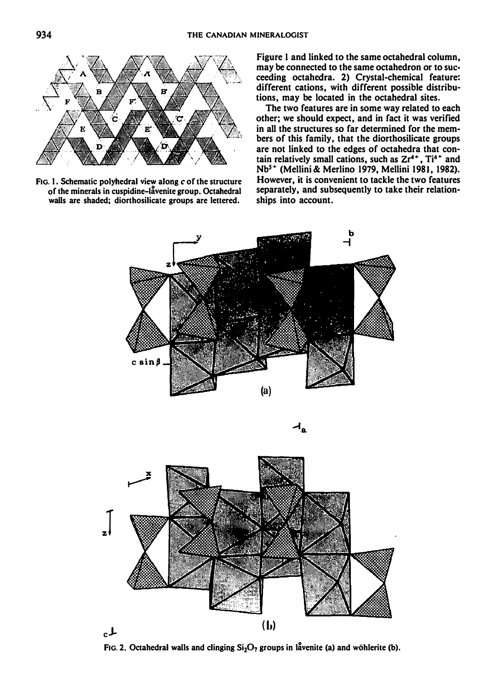

FIG. 1. Schematic polyhedral view along c of the structure of the minerals in cuspidine-lavenite group. Octahedral walls are shaded; diorthosilicate groups are lettered.

Figure 1 and linked to the same octahedral column, may be connected to the same octahedron or to sue· ceeding octahedra. 2) Crystal-chemical feature: different cations, with different possible distribu· tions, may be located in the octahedral sites.

The two features are in some way related to each other; we should expect, and in fact it was verified in all the structures so far determined for the mem· bers of this family, that the diorthosilicate groups are not linked to the edges of octahedra that con· tain relatively small cations, such as  $Zr^{4+}$ ,  $Ti^{4+}$  and Nb<sup>5+</sup> (Mellini & Merlino 1979, Mellini 1981, 1982). However, it is convenient to tackle the two features separately, and subsequently to take their relation· ships into account.





FIG. 2. Octahedral walls and clinging  $Si<sub>2</sub>O<sub>7</sub>$  groups in latentic (a) and wöhlerite (b).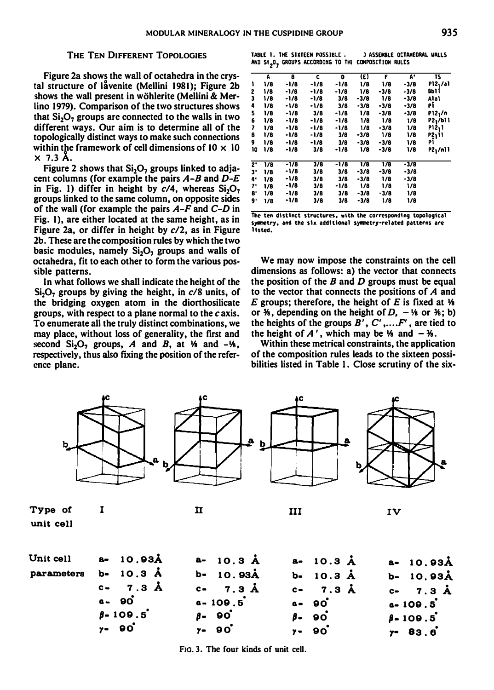### THE TEN DIFFERENT TOPOLOGIES

Figure 2a shows the wall of octahedra in the crystal structure of lavenite (Mellini 1981); Figure 2b shows the wall present in wohlerite (Mellini & Merlino 1979). Comparison of the two structures shows that Si<sub>2</sub>O<sub>7</sub> groups are connected to the walls in two different ways. Our aim is to determine all of the topologically distinct ways to make such connections within the framework of cell dimensions of  $10 \times 10$  $\times$  7.3 Å.

Figure 2 shows that  $Si_2O_7$  groups linked to adjacent columns (for example the pairs  $A-B$  and  $D-E$ in Fig. 1) differ in height by  $c/4$ , whereas  $Si<sub>2</sub>O<sub>7</sub>$ groups linked to the same column, on opposite sides of the wall (for example the pairs  $A-F$  and  $C-D$  in Fig. 1), are either located at the same height, as in Figure 2a, or differ in height by  $c/2$ , as in Figure 2b. These are the composition rules by which the two basic modules, namely  $Si<sub>2</sub>O<sub>2</sub>$  groups and walls of octahedra, fit to each other to form the various possible patterns.

In what follows we shall indicate the height of the Si<sub>2</sub>O<sub>7</sub> groups by giving the height, in  $c/8$  units, of the bridging oxygen atom in the diorthosilicate groups, with respect to a plane normal to the c axis. To enumerate all the truly distinct combinations, we may place, without loss of generality, the first and second Si<sub>2</sub>O<sub>2</sub> groups, A and B, at  $\frac{1}{2}$  and  $-\frac{1}{2}$ , respectively, thus also fixing the position of the reference plane.

c c

TABLE 1. THE SIXTEEN POSSIBLE . . . ) ASSEMBLE OCTAHEDRAL WALLS AND SI<sub>2</sub>0, GROUPS ACCORDING TO THE COMPOSITION RULES

|    | A   | 8      | c      | o      | (E)    | F      | A٠     | $\overline{\textbf{15}}$ |
|----|-----|--------|--------|--------|--------|--------|--------|--------------------------|
| ١  | 1/8 | $-1/8$ | $-1/8$ | $-1/8$ | 1/8    | 1/8    | $-3/8$ | P12,/a1                  |
| 2  | 1/8 | -1/8   | -1/8   | -1/8   | 1/8    | -3/8   | -3/8   | <b>Bb11</b>              |
| 3  | 1/8 | -1/8   | -1/8   | 3/8    | -3/8   | 1/8    | -3/8   | Al al                    |
| 4  | 1/8 | $-1/8$ | -1/8   | 3/8    | $-3/8$ | $-3/8$ | $-3/8$ | РĨ                       |
| 5  | 1/8 | -1/8   | 3/8    | $-1/8$ | 1/8    | -3/8   | -3/8   | P12,/n                   |
| 6  | 1/8 | -1/8   | -1/8   | -1/8   | 1/8    | 1/8    | 1/8    | P2 <sub>1</sub> /b11     |
| 7  | 1/8 | $-1/8$ | $-1/8$ | $-1/8$ | 1/8    | -3/8   | 1/8    | P12 <sub>1</sub> 1       |
| 8  | 1/8 | -1/8   | -1/8   | 3/8    | -3/8   | 1/8    | 1/8    | P2111                    |
| 9  | 1/8 | $-1/8$ | -1/8   | 3/8    | -3/8   | -3/8   | 1/8    | P۱                       |
| 10 | 1/8 | -1/8   | 3/8    | $-1/8$ | 1/8    | -3/8   | 1/8    | P2 <sub>1</sub> /n11     |
| 2' | 1/8 | $-1/8$ | 3/8    | $-1/8$ | 1/8    | 1/8    | -3/8   |                          |
| 3' | 1/8 | -1/8   | 3/8    | 3/8    | -3/8   | -3/8   | -3/8   |                          |
| 4. | 1/8 | -1/8   | 3/8    | 3/8    | -3/8   | 1/8    | -3/8   |                          |
| 7. | 1/8 | -1/8   | 3/8    | -1/8   | 1/8    | 1/8    | 1/8    |                          |
| 8, | 1/8 | -1/8   | 3/8    | 3/8    | -3/8   | $-3/8$ | 1/8    |                          |
| 9, | 1/8 | -1/8   | 3/8    | 3/8    | -3/8   | 1/8    | 1/8    |                          |

The ten distinct structures, with the corresponding topological symmetry, and the six additional symmetry-related patterns are listed.

We may now impose the constraints on the cell dimensions as follows: a) the vector that connects the position of the  $B$  and  $D$  groups must be equal to the vector that connects the positions of  $A$  and E groups; therefore, the height of E is fixed at  $\mathcal{H}$ or  $\frac{1}{2}$ , depending on the height of D,  $-\frac{1}{2}$  or  $\frac{1}{2}$ ; b) the heights of the groups  $B'$ ,  $C'$ ,....  $F'$ , are tied to the height of  $A'$ , which may be  $\frac{1}{2}$  and  $-\frac{1}{2}$ .

Within these metrical constraints, the application of the composition rules leads to the sixteen possibilities listed in Table I. Close scrutiny of the six-

c c



F10. 3. The four kinds of unit cell.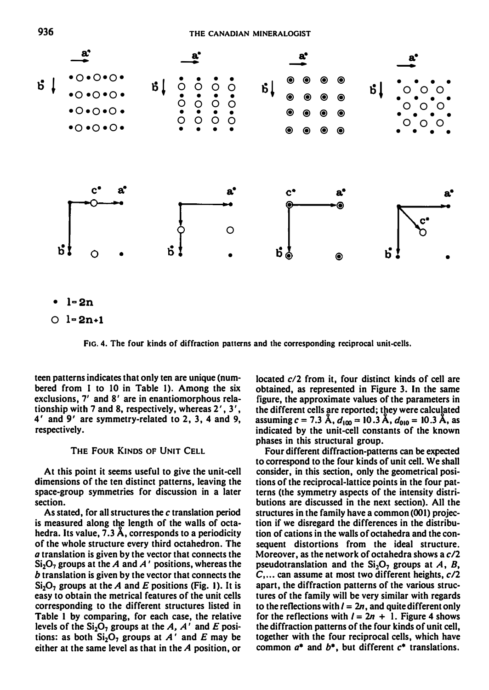

FIG. 4. The four kinds of diffraction patterns and the corresponding reciprocal unit-cells.

teen patterns indicates that only ten are unique (numbered from I to 10 in Table 1). Among the six exclusions, 7' and 8' are in enantiomorphous relationship with 7 and 8, respectively, whereas  $2', 3',$  $4'$  and  $9'$  are symmetry-related to 2, 3, 4 and 9, respectively.

# THE FOUR KINDS OF UNIT CELL

At this point it seems useful to give the unit-cell dimensions of the ten distinct patterns, leaving the space-group symmetries for discussion in a later section.

As stated, for all structures the c translation period is measured along the length of the walls of octahedra. Its value, 7.3 A, corresponds to a periodicity of the whole structure every third octahedron. The a translation is given by the vector that connects the  $Si<sub>2</sub>O<sub>7</sub>$  groups at the A and A' positions, whereas the b translation is given by the vector that connects the Si<sub>2</sub>O<sub>2</sub> groups at the A and E positions (Fig. 1). It is easy to obtain the metrical features of the unit cells corresponding to the different structures listed in Table 1 by comparing, for each case, the relative levels of the  $Si<sub>2</sub>O<sub>7</sub>$  groups at the A, A' and E positions: as both  $Si<sub>2</sub>O<sub>7</sub>$  groups at A' and E may be either at the same level as that in the A position, or

located c/2 from it, four distinct kinds of cell arc obtained, as represented in Figure 3. In the same figure, the approximate values of the parameters in the different cells arc reported; they were calculated assuming  $c = 7.3$  Å,  $d_{100} = 10.3$  Å,  $d_{010} = 10.3$  Å, as indicated by the unit-cell constants of the known phases in this structural group.

Four different diffraction-patterns can be expected to correspond to the four kinds of unit cell. We shall consider, in this section, only the geometrical positions of the reciprocal-lattice points in the four patterns (the symmetry aspects of the intensity distributions are discussed in the next section). All the structures in the family have a common (001) projection if we disregard the differences in the distribution of cations in the walls of octahedra and the consequent distortions from the ideal structure. Moreover, as the network of octahedra shows a  $c/2$ pseudotranslation and the  $Si<sub>2</sub>O<sub>7</sub>$  groups at A, B,  $C_{\text{max}}$  can assume at most two different heights,  $c/2$ apart, the diffraction patterns of the various structures of the family will be very similar with regards to the reflections with  $l = 2n$ , and quite different only for the reflections with  $l = 2n + 1$ . Figure 4 shows the diffraction patterns of the four kinds of unit cell, together with the four reciprocal cells, which have common  $a^*$  and  $b^*$ , but different  $c^*$  translations.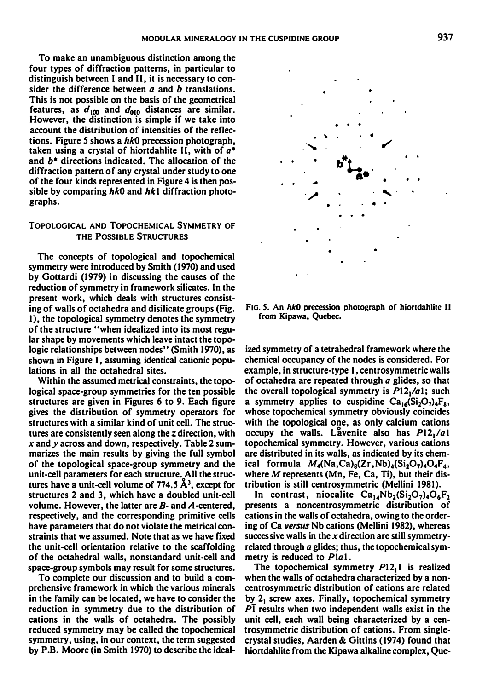To make an unambiguous distinction among the four types of diffraction patterns, in particular to distinguish between I and II, it is necessary to consider the difference between  $a$  and  $b$  translations. This is not possible on the basis of the geometrical features, as  $d_{100}$  and  $d_{010}$  distances are similar. However, the distinction is simple if we take into account the distribution of intensities of the reflections. Figure 5 shows a  $h\bar{k}0$  precession photograph, taken using a crystal of hiortdahlite II, with of  $a^*$ and  $b^*$  directions indicated. The allocation of the diffraction pattern of any crystal under study to one of the four kinds represented in Figure 4 is then possible by comparing  $hk0$  and  $hk1$  diffraction photographs.

## TOPOLOGICAL AND TOPOCHEMICAL SYMMETRY OF THE POSSIBLE STRUCTURES

The concepts of topological and topochemical symmetry were introduced by Smith ( 1970) and used by Gottardi (1979) in discussing the causes of the reduction of symmetry in framework silicates. In the present work, which deals with structures consisting of walls of octahedra and disilicate groups (Fig. 1), the topological symmetry denotes the symmetry of the structure "when idealized into its most regular shape by movements which leave intact the topologic relationships between nodes" (Smith 1970), as shown in Figure 1, assuming identical cationic populations in all the octahedral sites.

Within the assumed metrical constraints, the topological space-group symmetries for the ten possible structures are given in Figures 6 to 9. Each figure gives the distribution of symmetry operators for structures with a similar kind of unit cell. The structures are consistently seen along the z direction, with  $x$  and  $y$  across and down, respectively. Table 2 summarizes the main results by giving the full symbol of the topological space-group symmetry and the unit-cell parameters for each structure. All the structures have a unit-cell volume of 774.5  $\mathring{A}^3$ , except for structures 2 and 3, which have a doubled unit-cell volume. However, the latter are B- and A-centered, respectively, and the corresponding primitive cells have parameters that do not violate the metrical constraints that we assumed. Note that as we have fixed the unit-cell orientation relative to the scaffolding of the octahedral walls, nonstandard unit-cell and space-group symbols may result for some structures.

To complete our discussion and to build a comprehensive framework in which the various minerals in the family can be located, we have to consider the reduction in symmetry due to the distribution of cations in the walls of octahedra. The possibly reduced symmetry may be called the topochemical symmetry, using, in our context, the term suggested by P.B. Moore (in Smith 1970) to describe the ideal-



FIG. 5. An hk0 precession photograph of hiortdahlite II from Kipawa, Quebec.

ized symmetry of a tetrahedral framework where the chemical occupancy of the nodes is considered. For example, in structure-type I, centrosymmetric walls of octahedra are repeated through  $a$  glides, so that the overall topological symmetry is  $P12<sub>1</sub>/a1$ ; such a symmetry applies to cuspidine  $Ca_{16}(Si_2O_7)_4F_8$ , whose topochemical symmetry obviously coincides with the topological one, as only calcium cations occupy the walls. Lavenite also has  $P12<sub>1</sub>/a1$ topochemical symmetry. However, various cations are distributed in its walls, as indicated by its chemical formula  $M_4(Na, Ca)_8(Zr, Nb)_4(Si_2O_7)_4O_4F_4$ , where  $M$  represents (Mn, Fe, Ca, Ti), but their distribution is still centrosymmetric (Mellini 1981).

In contrast, niocalite  $Ca_{14}Nb_2(Si_2O_7)_4O_6F_2$ presents a noncentrosymmetric distribution of cations in the walls of octahedra, owing to the ordering of Ca versus Nb cations (Mellini 1982), whereas successive walls in the x direction are still symmetryrelated through a glides; thus, the topochemical symmetry is reduced to Pial.

The topochemical symmetry  $P12<sub>1</sub>1$  is realized when the walls of octahedra characterized by a noncentrosymmetric distribution of cations are related by  $2<sub>1</sub>$  screw axes. Finally, topochemical symmetry PI results when two independent walls exist in the unit cell, each wall being characterized by a centrosymmetric distribution of cations. From singlecrystal studies, Aarden & Gittins ( 1974) found that hiortdahlite from the Kipawa alkaline complex, Que-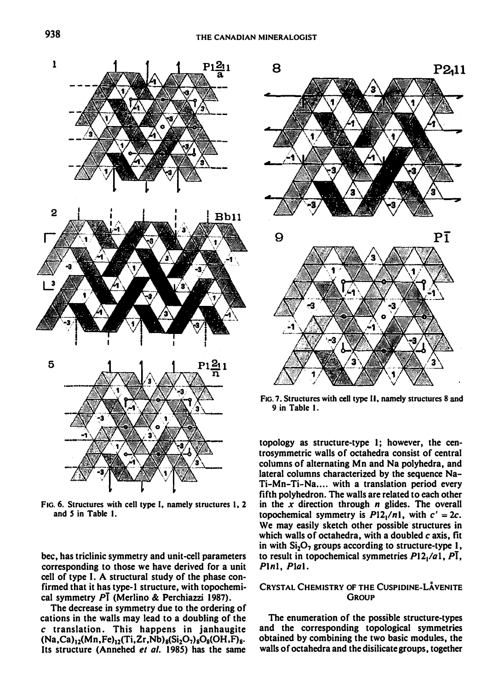

FIG. 6. Structures with cell type I, namely structures 1, 2 and S in Table I.

bee, has triclinic symmetry and unit-cell parameters corresponding to those we have derived for a unit cell of type I. A structural study of the phase confirmed that it has type-1 structure, with topochemical symmetry PI (Merlino & Perchiazzi 1987).

The decrease in symmetry due to the ordering of cations in the walls may lead to a doubling of the  $c$  translation. This happens in janhaugite  $(Na,Ca)_{12}(Mn,Fe)_{12}(Ti,Zr,Nb)_{8}(Si_2O_7)_{8}O_8(OH,F)_{8}$ Its structure (Annehed et al. 1985) has the same



FIG. 7. Structures with cell type II, namely structures 8 and 9 in Table 1.

topology as structure-type I; however, the centrosymmetric walls of octahedra consist of central columns of alternating Mn and Na polyhedra, and lateral columns characterized by the sequence Na-Ti-Mn-Ti-Na.... with a translation period every fifth polyhedron. The walls are related to each other in the x direction through  $n$  glides. The overall topochemical symmetry is  $P12_1/n1$ , with  $c' = 2c$ . We may easily sketch other possible structures in which walls of octahedra, with a doubled  $c$  axis, fit in with  $Si<sub>2</sub>O<sub>2</sub>$  groups according to structure-type 1, to result in topochemical symmetries  $P12/a1$ ,  $P\overline{1}$ , Plnl, Pial.

# CRYSTAL CHEMISTRY OF THE CUSPIDINE-LAVENITE **GROUP**

The enumeration of the possible structure-types and the corresponding topological symmetries obtained by combining the two basic modules, the walls of octahedra and the disilicate groups, together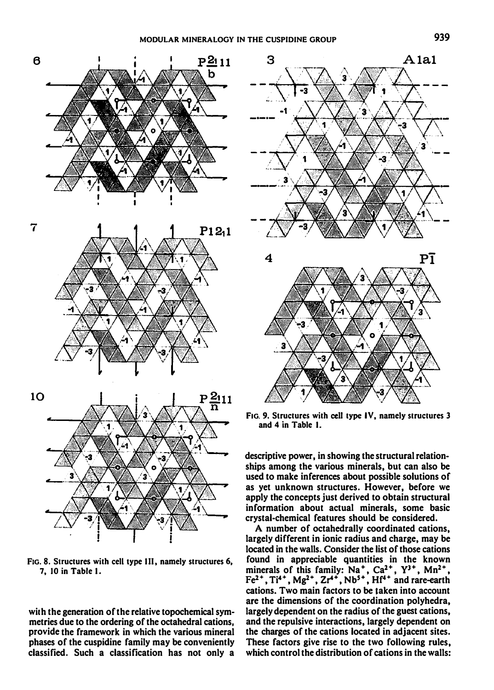

FIG. 8. Structures with cell type Ill, namely structures 6, 7, 10 in Table I.

with the generation of the relative topochemical symmetries due to the ordering of the octahedral cations, provide the framework in which the various mineral phases of the cuspidine family may be conveniently classified. Such a classification has not only a



FIG. 9. Structures with cell type IV, namely structures 3 and 4 in Table I.

descriptive power, in showing the structural relationships among the various minerals, but can also be used to make inferences about possible solutions of as yet unknown structures. However, before we apply the concepts just derived to obtain structural information about actual minerals, some basic crystal-chemical features should be considered.

A number of octahedrally coordinated cations, largely different in ionic radius and charge, may be located in the walls. Consider the list of those cations found in appreciable quantities in the known minerals of this family:  $Na^+$ ,  $Ca^{2+}$ ,  $Y^{3+}$ ,  $Mn^{2+}$ ,  $Fe<sup>2+</sup>, Ti<sup>4+</sup>, Mg<sup>2+</sup>, Zr<sup>4+</sup>, Nb<sup>5+</sup>, Hf<sup>4+</sup>$  and rare-earth cations. Two main factors to be taken into account are the dimensions of the coordination polyhedra, largely dependent on the radius of the guest cations, and the repulsive interactions, largely dependent on the charges of the cations located in adjacent sites. These factors give rise to the two following rules, which control the distribution of cations in the walls: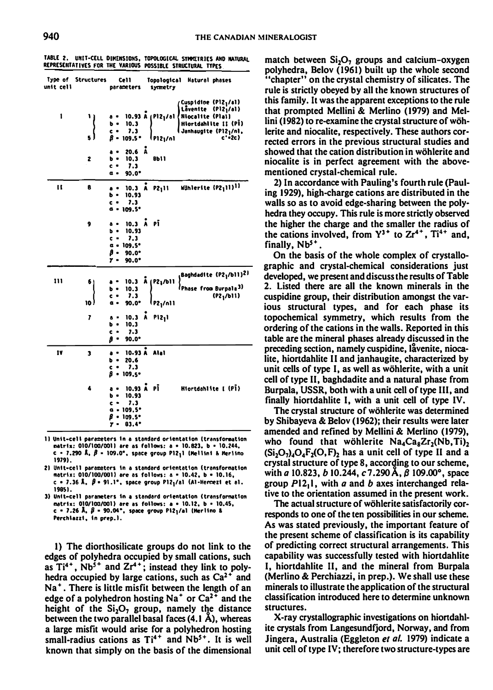TABLE 2. UNIT-CELL DIMENSIONS, TOPOLOGICAL SYMMETRIES AND NATURAL REPRESENTATIVES FOR THE VARIOUS POSSIBlE STRUCTURAL TYPES

| Type of<br>unit cell | <b>Structures</b> | Cell<br>Topological<br><b>Natural phases</b><br>symmetry<br>parameters                                                                                                                                                                                            |
|----------------------|-------------------|-------------------------------------------------------------------------------------------------------------------------------------------------------------------------------------------------------------------------------------------------------------------|
| 1                    | ۱۱<br>5 J         | Cuspidine (Pl2 <sub>l</sub> /al)<br>Lavenite (Pl21/al)<br>10.93 A (P121/61<br><b>Niocalite (Plai)</b><br>. .<br>Hlortdahllte II (PĪ)<br>10.3<br>ь.<br>Janhaugite (Pl21/nl.<br>7.3<br>c.<br>$\beta$ - 109.5 $^{\circ}$<br>c'•̃2c)                                  |
|                      | 2                 | PI21/n1<br>Å<br>20.6<br>$\bullet$<br>å<br>Bb11<br>10.3<br>ь<br>$\bullet$<br>7.3<br>c<br>$\bullet$<br>90.O*<br>α.                                                                                                                                                  |
| $\mathbf{u}$         | ß                 | Wählerite {P2 <sub>1</sub> 11} <sup>1}</sup><br>$P2_111$<br>10.3 A<br>. .<br>10.93<br>ь.<br>7.3<br>$\mathbf{c}$ .<br>a = 109.5°                                                                                                                                   |
|                      | 9                 | 10.3 Å PĪ<br>ð<br>10.93<br>d<br>$\bullet$<br>7.3<br>c<br>$\blacksquare$<br>a = 109.5°<br>β.<br>$90.0^{\circ}$<br>7 -<br>90.0"                                                                                                                                     |
| $\mathbf{m}$         | 61<br>10 J<br>7   | Baghdadite (P2 <sub>1</sub> /bll) <sup>2)</sup><br>10.3<br>(P2 <sub>1</sub> /b11<br>A<br>Phase from Burpala <sup>3)</sup><br>10.3<br>ь<br>$(PZ_1/b11)$<br>7.3<br>Ċ<br>$\bullet$<br>P2 <sub>1</sub> /n11<br>90.O*<br>۰ ه<br>10.3 A<br>P1211<br>â<br>$\blacksquare$ |
|                      |                   | 10.3<br>b<br>$\bullet$<br>7.3<br>c<br>β<br>90.O°<br>$\bullet$                                                                                                                                                                                                     |
| I٧                   | 3                 | Alal<br>10-93 A<br>٠<br>a<br>20.6<br>ь<br>$\bullet$<br>7.3<br>c<br>٠<br>$\beta$ = 109.5°                                                                                                                                                                          |
|                      | 4                 | 10.93 A PĪ<br>Hiortdahlite [ (PI)<br>a<br>10.93<br>ь<br>$\bullet$<br>7.3<br>c.<br>a = 109.5°<br>$\beta$ = 109.5°<br>$03.4^{\circ}$<br>7 -                                                                                                                         |

- 1) Unit-cell parameters in a standard orientation (transformation natrix: 010/100/0011 are as follows: a • 10.823, b • 10.244, c • 7.290 Å, β = 109.0°, space group P12<sub>1</sub>1 (Mellini & Merlino 1979).
- 2) Unit-cell parameters in a standard orientation (transformation matrix: 010/100/001) are as follows: a = 10.42, b = 10.16, c • 7.36 Å, β• 91.1°, space group Pl2<sub>l</sub>/al (Al-Herœzi et al. 19851.
- 3) Unit-cell parameters in a standard orientation (transformation matrix: 010/100/001) are as follows: a • 10.12, b • 10.45, c • 7.26 Å, β = 90.04°, space group Pl2<sub>l</sub>/al (Merlino & Perchlazzi, in prep.1.

I) The diorthosilicate groups do not link to the edges of polyhedra occupied by small cations, such as  $Ti<sup>4+</sup>$ , Nb<sup>5+</sup> and  $Zr<sup>4+</sup>$ ; instead they link to polyhedra occupied by large cations, such as  $Ca<sup>2+</sup>$  and Na<sup>+</sup>. There is little misfit between the length of an edge of a polyhedron hosting  $Na<sup>+</sup>$  or  $Ca<sup>2+</sup>$  and the height of the  $Si<sub>2</sub>O<sub>7</sub>$  group, namely the distance between the two parallel basal faces  $(4.1 \text{ Å})$ , whereas a large misfit would arise for a polyhedron hosting small-radius cations as  $Ti^{4+}$  and  $Nb^{5+}$ . It is well known that simply on the basis of the dimensional match between  $Si<sub>2</sub>O<sub>7</sub>$  groups and calcium-oxygen polyhedra, Belov (1961) built up the whole second "chapter" on the crystal chemistry of silicates. The rule is strictly obeyed by all the known structures of this family. It was the apparent exceptions to the rule that prompted Mellini & Merlino (1979) and Mellini ( 1982) to re-examine the crystal structure of wohlerite and niocalite, respectively. These authors corrected errors in the previous structural studies and showed that the cation distribution in wohlerite and niocalite is in perfect agreement with the abovementioned crystal-chemical rule.

2) In accordance with Pauling's fourth rule (Pauling 1929), high-charge cations are distributed in the walls so as to avoid edge-sharing between the polyhedra they occupy. This rule is more strictly observed the higher the charge and the smaller the radius of the cations involved, from  $Y^{3+}$  to  $Zr^{4+}$ ,  $Ti^{4+}$  and, finally,  $Nb^{5+}$  .

On the basis of the whole complex of crystallographic and crystal-chemical considerations just developed, we present and discuss the results of Table 2. Listed there are all the known minerals in the cuspidine group, their distribution amongst the various structural types, and for each phase its topochemical symmetry, which results from the ordering of the cations in the walls. Reported in this table are the mineral phases already discussed in the preceding section, namely cuspidine, l&venite, niocalite, hiortdahlite II and janhaugite, characterized by unit cells of type I, as well as wohlerite, with a unit cell of type II, baghdadite and a natural phase from Burpala, USSR, both with a unit cell of type III, and finally hiortdahlite I, with a unit cell of type IV.

The crystal structure of wohlerite was determined by Shibayeva & Belov (1962); their results were later amended and refined by Mellini & Merlino (1979), who found that wöhlerite  $Na_4Ca_8Zr_2(Nb, Ti)_2$  $(Si<sub>2</sub>O<sub>7</sub>)<sub>4</sub>O<sub>4</sub>F<sub>2</sub>(O, F)$ , has a unit cell of type II and a crystal structure of type 8, according to our scheme, with a 10.823, b 10.244, c 7.290 Å,  $\beta$  109.00°, space group  $P[2,1]$ , with a and b axes interchanged relative to the orientation assumed in the present work.

The actual structure of wohlerite satisfactorily cor· responds to one of the ten possibilities in our scheme. As was stated previously, the important feature of the present scheme of classification is its capability of predicting correct structural arrangements. This capability was successfully tested with hiortdahlite I, hiortdahlite II, and the mineral from Burpala (Merlino & Perchiazzi, in prep.). We shall use these minerals to illustrate the application of the structural classification introduced here to determine unknown structures.

X-ray crystallographic investigations on hiortdahlite crystals from Langesundfjord, Norway, and from Jingera, Australia (Eggleton et al. 1979) indicate a unit cell of type IV; therefore two structure-types are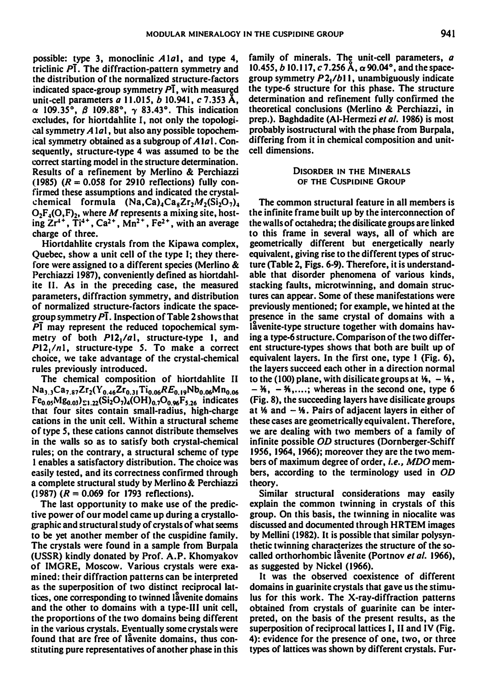possible: type 3, monoclinic A 1a1, and type 4, triclinic PI. The diffraction-pattern symmetry and the distribution of the normalized structure-factors indicated space-group symmetry  $P\bar{I}$ , with measured unit-cell parameters *a* 11.015, *b* 10.941, *c* 7.353 Å,  $\alpha$  109.35°,  $\beta$  109.88°,  $\gamma$  83.43°. This indication excludes, for hiortdahlite I, not only the topological symmetry  $A$  lal, but also any possible topochemical symmetry obtained as a subgroup of A 1al. Consequently, structure-type 4 was assumed to be the correct starting model in the structure determination. Results of a refinement by Merlino & Perchiazzi (1985)  $(R = 0.058$  for 2910 reflections) fully confirmed these assumptions and indicated the crystalchemical formula  $(Na, Ca)<sub>4</sub>Ca<sub>8</sub>Zr<sub>2</sub>M<sub>2</sub>(Si<sub>2</sub>O<sub>7</sub>)<sub>4</sub>$  $O_2F_4(O,F)$ , where M represents a mixing site, host $z_2$ ,  $z_3$ ,  $z_4$ ,  $z_5$ ,  $z_6$ ,  $z_7$ ,  $z_8$ ,  $z_7$ ,  $z_8$ ,  $z_7$ ,  $z_8$ ,  $z_7$ ,  $z_8$ ,  $z_7$ ,  $z_8$ ,  $z_7$ ,  $z_8$ ,  $z_7$ ,  $z_8$ ,  $z_7$ ,  $z_8$ ,  $z_7$ ,  $z_8$ ,  $z_7$ ,  $z_8$ ,  $z_7$ ,  $z_8$ ,  $z_9$ ,  $z_9$ ,  $z_9$ ,  $z_9$ ,  $z_9$ charge of three.

Hiortdahlite crystals from the Kipawa complex, Quebec, show a unit cell of the type I; they therefore were assigned to a different species (Merlino & Perchiazzi 1987), conveniently defined as hiortdahlite II. As in the preceding case, the measured parameters, diffraction symmetry, and distribution of normalized structure-factors indicate the spacegroup symmetry  $\overline{PI}$ . Inspection of Table 2 shows that PI may represent the reduced topochemical symmetry of both  $P12<sub>1</sub>/a1$ , structure-type 1, and  $P12_1/n1$ , structure-type 5. To make a correct choice, we take advantage of the crystal-chemical rules previously introduced.

The chemical composition of hiortdahlite II  $Na<sub>3.3</sub>Ca<sub>7.87</sub>Zr<sub>2</sub>(Y<sub>0.46</sub>Zr<sub>0.31</sub>Ti<sub>0.06</sub>RE<sub>0.19</sub>Nb<sub>0.06</sub>Mn<sub>0.06</sub>$  $Fe_{0.05}Mg_{0.03}$ <sub>21.22</sub>(Si<sub>2</sub>O<sub>7</sub>)<sub>4</sub>(OH)<sub>0.7</sub>O<sub>0.96</sub>F<sub>5.26</sub> indicates that four sites contain small-radius, high-charge cations in the unit cell. Within a structural scheme of type 5, these cations cannot distribute themselves in the walls so as to satisfy both crystal-chemical rules; on the contrary, a structural scheme of type 1 enables a satisfactory distribution. The choice was easily tested, and its correctness confirmed through a complete structural study by Merlino & Perchiazzi (1987)  $(R = 0.069$  for 1793 reflections).

The last opportunity to make use of the predictive power of our model came up during a crystallographic and structural study of crystals of what seems to be yet another member of the cuspidine family. The crystals were found in a sample from Burpala (USSR) kindly donated by Prof. A.P. Khomyakov of IMGRE, Moscow. Various crystals were examined: their diffraction patterns can be interpreted as the superposition of two distinct reciprocal lattices, one corresponding to twinned lavenite domains and the other to domains with a type-Ill unit cell, the proportions of the two domains being different in the various crystals. Eventually some crystals were found that are free of lavenite domains, thus constituting pure representatives of another phase in this

family of minerals. The unit-cell parameters, a 10.455, b 10.117, c 7.256 Å,  $\alpha$  90.04°, and the spacegroup symmetry  $P2<sub>1</sub>/b11$ , unambiguously indicate the type-6 structure for this phase. The structure determination and refinement fully confirmed the theoretical conclusions (Merlino & Perchiazzi, in prep.). Baghdadite (Al-Hermezi et al. 1986) is most probably isostructural with the phase from Burpala, differing from it in chemical composition and unitcell dimensions.

### DISORDER IN THE MINERALS OF THE CUSPIDINE GROUP

The common structural feature in all members is the infinite frame built up by the interconnection of the walls of octahedra; the disilicate groups are linked to this frame in several ways, all of which are geometrically different but energetically nearly equivalent, giving rise to the different types of structure (Table 2, Figs. 6-9). Therefore, it is understandable that disorder phenomena of various kinds, stacking faults, microtwinning, and domain structures can appear. Some of these manifestations were previously mentioned; for example, we hinted at the presence in the same crystal of domains with a lavenite-type structure together with domains having a type-6 structure. Comparison of the two different structure-types shows that both are built up of equivalent layers. In the first one, type I (Fig. 6), the layers succeed each other in a direction normal to the (100) plane, with disilicate groups at  $\frac{1}{8}$ ,  $- \frac{1}{8}$ ,  $-$  %,  $-$  %,....; whereas in the second one, type 6 (Fig. 8), the succeeding layers have disilicate groups at  $\frac{1}{2}$  and  $-$  %. Pairs of adjacent layers in either of these cases are geometrically equivalent. Therefore, we are dealing with two members of a family of infinite possible OD structures (Dornberger-Schiff 1956, 1964, 1966); moreover they are the two members of maximum degree of order, *i.e.*, MDO members, according to the terminology used in OD theory.

Similar structural considerations may easily explain the common twinning in crystals of this group. On this basis, the twinning in niocalite was discussed and documented through HRTEM images by Mellini (1982). It is possible that similar polysynthetic twinning characterizes the structure of the socalled orthorhombic lavenite (Portnov et al. 1966), as suggested by Nickel (1966).

It was the observed coexistence of different domains in guarinite crystals that gave us the stimulus for this work. The X-ray-diffraction patterns obtained from crystals of guarinite can be interpreted, on the basis of the present results, as the superposition of reciprocal lattices I, II and IV (Fig. 4): evidence for the presence of one, two, or three types of lattices was shown by different crystals. Fur-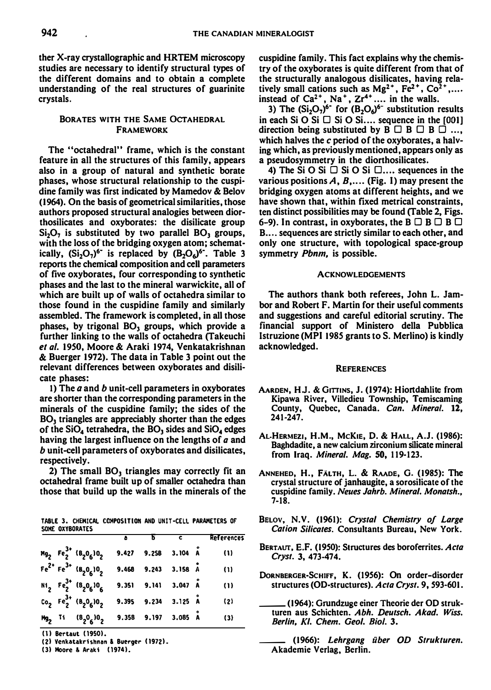ther X-ray crystallographic and HRTEM microscopy studies are necessary to identify structural types of the different domains and to obtain a complete understanding of the real structures of guarinite crystals.

## BORATES WITH THE SAME OCTAHEDRAL FRAMEWORK

The "octahedral" frame, which is the constant feature in all the structures of this family, appears also in a group of natural and synthetic borate phases, whose structural relationship to the cuspidine family was first indicated by Mamedov & Belov (1964). On the basis of geometrical similarities, those authors proposed structural analogies between diorthosilicates and oxyborates: the disilicate group  $Si<sub>2</sub>O<sub>2</sub>$  is substituted by two parallel BO<sub>3</sub> groups, with the loss of the bridging oxygen atom; schematically,  $(Si_2O_7)^{6}$  is replaced by  $(B_2O_6)^{6}$ . Table 3 reports the chemical composition and cell parameters of five oxyborates, four corresponding to synthetic phases and the last to the mineral warwickitc, all of which are built up of walls of octahedra similar to those found in the cuspidine family and similarly assembled. The framework is completed, in all those phases, by trigonal  $BO<sub>3</sub>$  groups, which provide a further linking to the walls of octahedra (Takeuchi et al. 1950, Moore & Araki 1974, Venkatakrishnan & Buerger 1972). The data in Table 3 point out the relevant differences between oxyborates and disilicate phases:

1) The  $a$  and  $b$  unit-cell parameters in oxyborates are shorter than the corresponding parameters in the minerals of the cuspidine family; the sides of the  $BO<sub>3</sub>$  triangles are appreciably shorter than the edges of the  $SiO<sub>4</sub>$  tetrahedra, the BO<sub>3</sub> sides and  $SiO<sub>4</sub>$  edges having the largest influence on the lengths of  $a$  and b unit-cell parameters of oxyborates and disilicates, respectively.

2) The small  $BO_3$  triangles may correctly fit an octahedral frame built up of smaller octahedra than those that build up the walls in the minerals of the

|  |                 | TABLE 3. CHEMICAL COMPOSITION AND UNIT-CELL PARAMETERS OF |  |  |
|--|-----------------|-----------------------------------------------------------|--|--|
|  | SOME OXYBORATES |                                                           |  |  |

|  |                                                                                                                  |  | $\overline{\phantom{a}}$ | <b>References</b> |
|--|------------------------------------------------------------------------------------------------------------------|--|--------------------------|-------------------|
|  | $Mg_2$ Fe <sub>2</sub> <sup>3</sup> (B <sub>2</sub> O <sub>6</sub> )O <sub>2</sub> 9.427 9.25B 3.104 A           |  |                          | (1)               |
|  | $Fe^{2+}Fe^{3+} (B_9O_6)O_9$ 9.468 9.243 3.158 Å                                                                 |  |                          | (1)               |
|  | N1 <sub>2</sub> Fe <sub>2</sub> <sup>3+</sup> (8 <sub>2</sub> 0 <sub>6</sub> )0 <sub>6</sub> 9.351 9.141 3.047 Å |  |                          | (1)               |
|  | Co <sub>2</sub> Fe <sub>2</sub> <sup>3+</sup> (B <sub>2</sub> O <sub>6</sub> )0 <sub>2</sub> 9.395 9.234 3.125 Å |  |                          | (2)               |
|  | Mg <sub>2</sub> Ti (8 <sub>2</sub> 0 <sub>6</sub> )0 <sub>2</sub> 9.358 9.197 3.085 Å                            |  |                          | (3)               |

(11 Bertaut (19501.

(21 Venkatakrishnan & Buerg er 119121.

(3) Moore & Araki (1974).

cuspidine family. This fact explains why the chemistry of the oxyborates is quite different from that of the structurally analogous disilicates, having relatively small cations such as  $Mg^{2+}$ ,  $Fe^{2+}$ ,  $Co^{2+}$ , .... instead of  $Ca^{2+}$ , Na<sup>+</sup>,  $Zr^{4+}$ .... in the walls.

3) The  $(S_iQ_7)^6$  for  $(B_2O_6)^6$  substitution results in each Si  $\overline{O}$  Si  $\overline{O}$  Si  $\overline{O}$  Si.... sequence in the [001] direction being substituted by  $B \Box B \Box B \Box ...$ which halves the c period of the oxyborates, a halving which, as previously mentioned, appears only as a pseudosymmetry in the diorthosilicates.

4) The Si O Si  $\Box$  Si O Si  $\Box$ .... sequences in the various positions  $A, B, \ldots$  (Fig. 1) may present the bridging oxygen atoms at different heights, and we have shown that, within fixed metrical constraints, ten distinct possibilities may be found (Table 2, Figs. 6-9). In contrast, in oxyborates, the  $B \square B \square B \square$ B.... sequences are strictly similar to each other, and only one structure, with topological space-group symmetry Pbnm, is possible.

### ACKNOWLEDGEMENTS

The authors thank both referees, John L. Jambor and Robert F. Martin for their useful comments and suggestions and careful editorial scrutiny. The financial support of Ministero della Pubblica Istruzione (MPI 1985 grants to S. Merlino) is kindly acknowledged.

#### **REFERENCES**

- AARDEN, H.J. & GITTINS, J. (1974): Hiortdahlite from Kipawa River, Villedieu Township, Temiscaming<br>County, Quebec, Canada. *Can. Mineral.* 12, 241-247.
- AL.HERMEZJ, H.M., McKIE, D. & HALL, A.J. (1986): Baghdadite, a new calcium zirconium silicate mineral from Iraq. Mineral. Mag. SO, 119-123.
- ANNEHED, H., FALTH, L. & RAADE, G. (198S): The crystal structure of janhaugite, a sorosilicate of the cuspidine family. Neues Jahrb. Mineral. Monatsh., 7-18.
- BELOV, N.V. (1961): Crystal Chemistry of Large Cation Silicates. Consultants Bureau, New York.
- BERTAUT, E.F. (1950): Structures des boroferrites. Acta Cryst. 3, 473-474 .
- DoRNBERGER-SCHIFF, K. (19S6): On order-disorder structures (OD-structures). Acta Cryst. 9, 593-601.
- \_\_ (1964): Grundzuge einer Theorie der OD strukturen aus Schichten. Abh. Deutsch. Akad. Wiss. Berlin, Kl. Chem. Geol. Biol. 3.
- \_\_ (1966): Lehrgang iiber OD Strukturen. Akademie Verlag, Berlin.